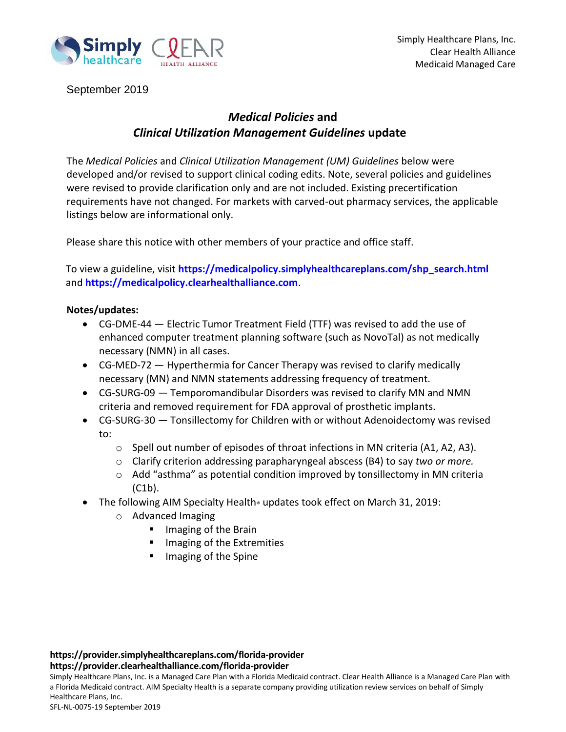

September 2019

## *Medical Policies* **and**  *Clinical Utilization Management Guidelines* **update**

The *Medical Policies* and *Clinical Utilization Management (UM) Guidelines* below were developed and/or revised to support clinical coding edits. Note, several policies and guidelines were revised to provide clarification only and are not included. Existing precertification requirements have not changed. For markets with carved-out pharmacy services, the applicable listings below are informational only.

Please share this notice with other members of your practice and office staff.

To view a guideline, visit **[https://medicalpolicy.simplyhealthcareplans.com/shp\\_search.html](https://medicalpolicy.simplyhealthcareplans.com/shp_search.html)** and **[https://medicalpolicy.clearhealthalliance.com](https://medicalpolicy.clearhealthalliance.com/)**.

## **Notes/updates:**

- CG-DME-44 Electric Tumor Treatment Field (TTF) was revised to add the use of enhanced computer treatment planning software (such as NovoTal) as not medically necessary (NMN) in all cases.
- CG-MED-72 Hyperthermia for Cancer Therapy was revised to clarify medically necessary (MN) and NMN statements addressing frequency of treatment.
- CG-SURG-09 Temporomandibular Disorders was revised to clarify MN and NMN criteria and removed requirement for FDA approval of prosthetic implants.
- CG-SURG-30 Tonsillectomy for Children with or without Adenoidectomy was revised to:
	- $\circ$  Spell out number of episodes of throat infections in MN criteria (A1, A2, A3).
	- o Clarify criterion addressing parapharyngeal abscess (B4) to say *two or more.*
	- o Add "asthma" as potential condition improved by tonsillectomy in MN criteria (C1b).
- The following AIM Specialty Health® updates took effect on March 31, 2019:
	- o Advanced Imaging
		- Imaging of the Brain
		- **IF Imaging of the Extremities**
		- **Imaging of the Spine**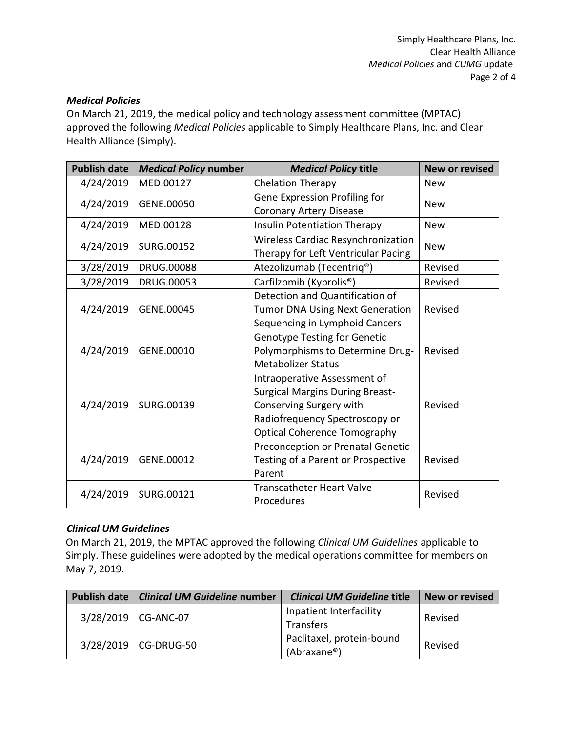## *Medical Policies*

On March 21, 2019, the medical policy and technology assessment committee (MPTAC) approved the following *Medical Policies* applicable to Simply Healthcare Plans, Inc. and Clear Health Alliance (Simply).

| <b>Publish date</b> | <b>Medical Policy number</b> | <b>Medical Policy title</b>                                                                                                                                                | <b>New or revised</b> |
|---------------------|------------------------------|----------------------------------------------------------------------------------------------------------------------------------------------------------------------------|-----------------------|
| 4/24/2019           | MED.00127                    | <b>Chelation Therapy</b>                                                                                                                                                   | <b>New</b>            |
| 4/24/2019           | GENE.00050                   | Gene Expression Profiling for<br><b>Coronary Artery Disease</b>                                                                                                            | <b>New</b>            |
| 4/24/2019           | MED.00128                    | <b>Insulin Potentiation Therapy</b>                                                                                                                                        | <b>New</b>            |
| 4/24/2019           | SURG.00152                   | <b>Wireless Cardiac Resynchronization</b><br>Therapy for Left Ventricular Pacing                                                                                           | <b>New</b>            |
| 3/28/2019           | DRUG.00088                   | Atezolizumab (Tecentriq®)                                                                                                                                                  | Revised               |
| 3/28/2019           | DRUG.00053                   | Carfilzomib (Kyprolis <sup>®</sup> )                                                                                                                                       | Revised               |
| 4/24/2019           | GENE.00045                   | Detection and Quantification of<br><b>Tumor DNA Using Next Generation</b><br>Sequencing in Lymphoid Cancers                                                                | Revised               |
| 4/24/2019           | GENE.00010                   | <b>Genotype Testing for Genetic</b><br>Polymorphisms to Determine Drug-<br><b>Metabolizer Status</b>                                                                       | Revised               |
| 4/24/2019           | SURG.00139                   | Intraoperative Assessment of<br><b>Surgical Margins During Breast-</b><br>Conserving Surgery with<br>Radiofrequency Spectroscopy or<br><b>Optical Coherence Tomography</b> | Revised               |
| 4/24/2019           | GENE.00012                   | Preconception or Prenatal Genetic<br>Testing of a Parent or Prospective<br>Parent                                                                                          | Revised               |
| 4/24/2019           | SURG.00121                   | <b>Transcatheter Heart Valve</b><br>Procedures                                                                                                                             | Revised               |

## *Clinical UM Guidelines*

On March 21, 2019, the MPTAC approved the following *Clinical UM Guidelines* applicable to Simply. These guidelines were adopted by the medical operations committee for members on May 7, 2019.

| Publish date   Clinical UM Guideline number | <b>Clinical UM Guideline title</b>       | <b>New or revised</b> |
|---------------------------------------------|------------------------------------------|-----------------------|
| 3/28/2019   CG-ANC-07                       | Inpatient Interfacility<br>Transfers     | Revised               |
| 3/28/2019   CG-DRUG-50                      | Paclitaxel, protein-bound<br>(Abraxane®) | Revised               |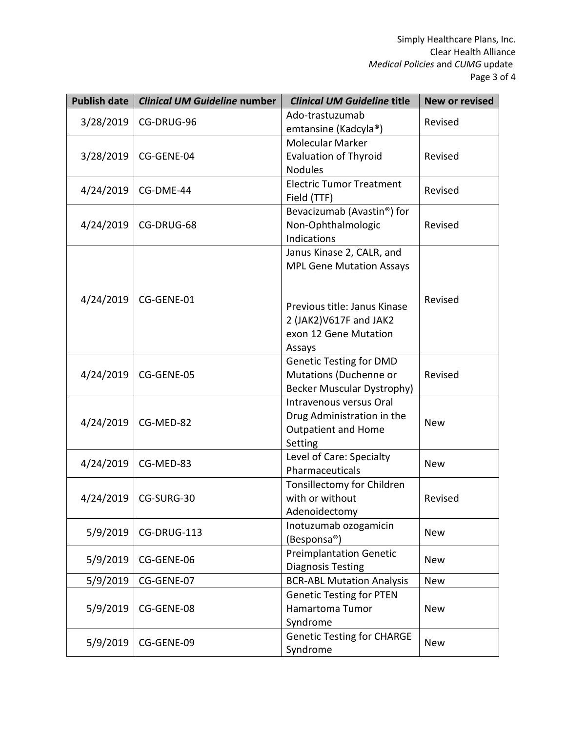| Publish date | <b>Clinical UM Guideline number</b> | <b>Clinical UM Guideline title</b>                                                                                                                         | <b>New or revised</b> |
|--------------|-------------------------------------|------------------------------------------------------------------------------------------------------------------------------------------------------------|-----------------------|
| 3/28/2019    | CG-DRUG-96                          | Ado-trastuzumab<br>emtansine (Kadcyla®)                                                                                                                    | Revised               |
| 3/28/2019    | CG-GENE-04                          | <b>Molecular Marker</b><br><b>Evaluation of Thyroid</b><br><b>Nodules</b>                                                                                  | Revised               |
| 4/24/2019    | CG-DME-44                           | <b>Electric Tumor Treatment</b><br>Field (TTF)                                                                                                             | Revised               |
| 4/24/2019    | CG-DRUG-68                          | Bevacizumab (Avastin®) for<br>Non-Ophthalmologic<br>Indications                                                                                            | Revised               |
| 4/24/2019    | CG-GENE-01                          | Janus Kinase 2, CALR, and<br><b>MPL Gene Mutation Assays</b><br>Previous title: Janus Kinase<br>2 (JAK2) V617F and JAK2<br>exon 12 Gene Mutation<br>Assays | Revised               |
| 4/24/2019    | CG-GENE-05                          | <b>Genetic Testing for DMD</b><br>Mutations (Duchenne or<br><b>Becker Muscular Dystrophy)</b>                                                              | Revised               |
| 4/24/2019    | CG-MED-82                           | Intravenous versus Oral<br>Drug Administration in the<br><b>Outpatient and Home</b><br>Setting                                                             | <b>New</b>            |
| 4/24/2019    | CG-MED-83                           | Level of Care: Specialty<br>Pharmaceuticals                                                                                                                | <b>New</b>            |
| 4/24/2019    | CG-SURG-30                          | Tonsillectomy for Children<br>with or without<br>Adenoidectomy                                                                                             | Revised               |
| 5/9/2019     | CG-DRUG-113                         | Inotuzumab ozogamicin<br>(Besponsa®)                                                                                                                       | <b>New</b>            |
| 5/9/2019     | CG-GENE-06                          | <b>Preimplantation Genetic</b><br><b>Diagnosis Testing</b>                                                                                                 | <b>New</b>            |
| 5/9/2019     | CG-GENE-07                          | <b>BCR-ABL Mutation Analysis</b>                                                                                                                           | New                   |
| 5/9/2019     | CG-GENE-08                          | <b>Genetic Testing for PTEN</b><br>Hamartoma Tumor<br>Syndrome                                                                                             | <b>New</b>            |
| 5/9/2019     | CG-GENE-09                          | <b>Genetic Testing for CHARGE</b><br>Syndrome                                                                                                              | <b>New</b>            |